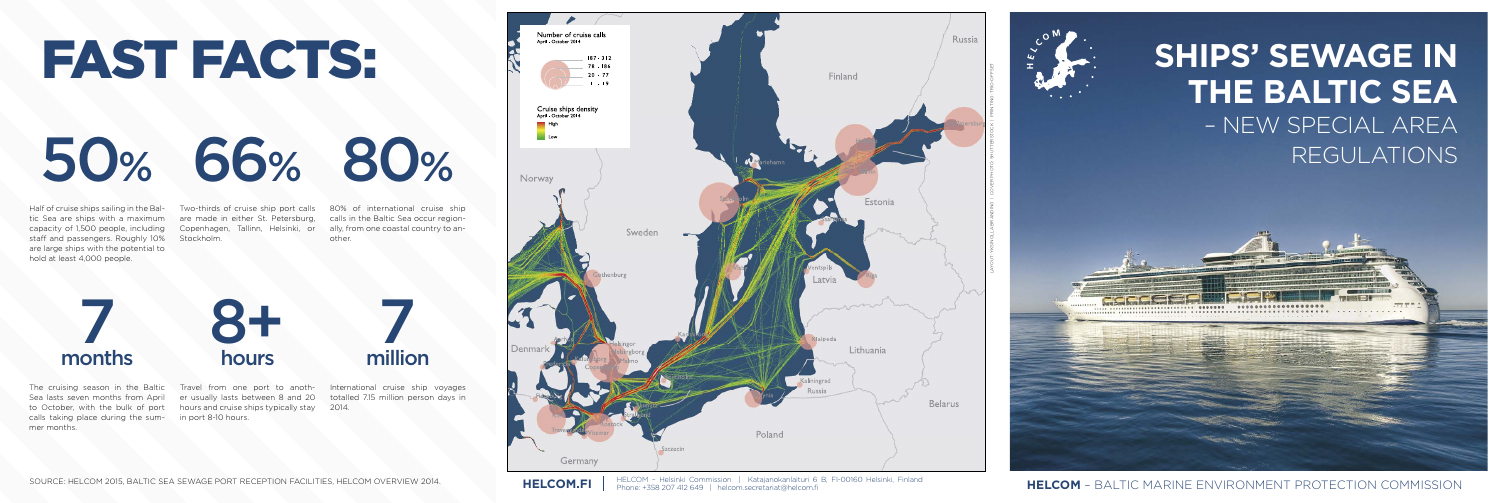# FAST FACTS:

Sea lasts seven months from April to October, with the bulk of port calls taking place during the sum-in port 8-10 hours. mer months.

Half of cruise ships sailing in the Baltic Sea are ships with a maximum capacity of 1,500 people, including staff and passengers. Roughly 10% are large ships with the potential to hold at least 4,000 people.



The cruising season in the Baltic Travel from one port to anoth-International cruise ship voyages totalled 7.15 million person days in

Stockholm.

Two-thirds of cruise ship port calls 80% of international cruise ship are made in either St. Petersburg, calls in the Baltic Sea occur region-Copenhagen, Tallinn, Helsinki, or ally, from one coastal country to another.

er usually lasts between 8 and 20 hours and cruise ships typically stay 2014.



....................

HELCOM - Helsinki Commission | Katajanokanlaituri 6 B, FI-00160 Helsinki, Finland<br>Phone: +358 207 412 649 | helcom.secretariat@helcom.fi

HELCOM.FI | HELCOM – Helsinki Commission | Katajanokanlaituri 6 B, FI-00160 Helsinki, Finland<br>HELCOM – BALTIC MARINE ENVIRONMENT PROTECTION COMMISSION

7 months 7

million